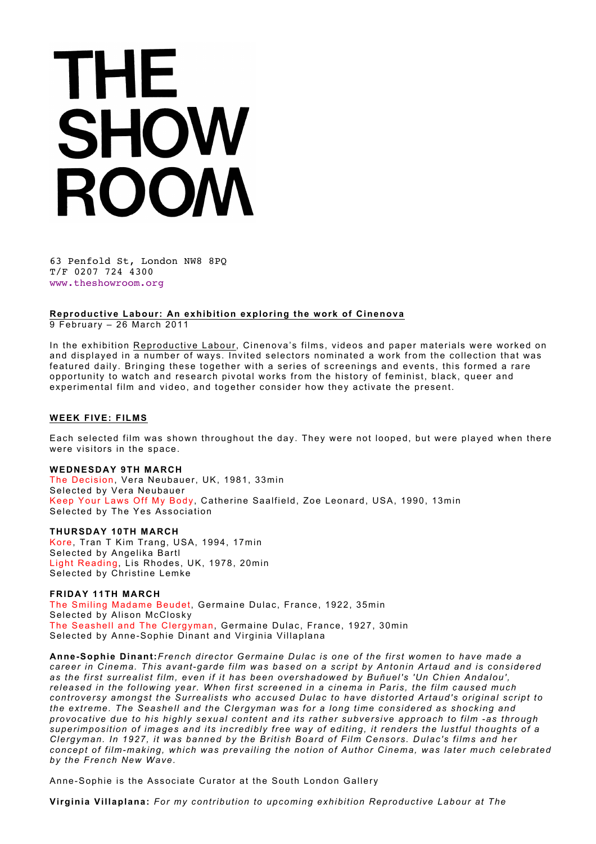# THE SHOW ROOM

63 Penfold St, London NW8 8PQ T/F 0207 724 4300 www.theshowroom.org

**Reproductive Labour: An exhibition exploring the work of Cinenova**

9 February – 26 March 2011

In the exhibition Reproductive Labour, Cinenova's films, videos and paper materials were worked on and displayed in a number of ways. Invited selectors nominated a work from the collection that was featured daily. Bringing these together with a series of screenings and events, this formed a rare opportunity to watch and research pivotal works from the history of feminist, black, queer and experimental film and video, and together consider how they activate the present.

### **WEEK FIVE: FILMS**

Each selected film was shown throughout the day. They were not looped, but were played when there were visitors in the space.

#### **WEDNESDAY 9TH MARCH**

The Decision, Vera Neubauer, UK, 1981, 33min Selected by Vera Neubauer Keep Your Laws Off My Body, Catherine Saalfield, Zoe Leonard, USA, 1990, 13min Selected by The Yes Association

#### **THURSDAY 10TH MARCH**

Kore, Tran T Kim Trang, USA, 1994, 17min Selected by Angelika Bartl Light Reading, Lis Rhodes, UK, 1978, 20min Selected by Christine Lemke

**FRIDAY 11TH MARCH**  The Smiling Madame Beudet, Germaine Dulac, France, 1922, 35min Selected by Alison McClosky The Seashell and The Clergyman, Germaine Dulac, France, 1927, 30min Selected by Anne-Sophie Dinant and Virginia Villaplana

**Anne-Sophie Dinant:***French director Germaine Dulac is one of the first women to have made a career in Cinema. This avant-garde film was based on a script by Antonin Artaud and is considered as the first surrealist film, even if it has been overshadowed by Buñuel's 'Un Chien Andalou', released in the following year. When first screened in a cinema in Paris, the film caused much controversy amongst the Surrealists who accused Dulac to have distorted Artaud's original script to the extreme. The Seashell and the Clergyman was for a long time considered as shocking and provocative due to his highly sexual content and its rather subversive approach to film -as through superimposition of images and its incredibly free way of editing, it renders the lustful thoughts of a Clergyman. In 1927, it was banned by the British Board of Film Censors. Dulac's films and her concept of film-making, which was prevailing the notion of Author Cinema, was later much celebrated by the French New Wave.*

Anne-Sophie is the Associate Curator at the South London Gallery

**Virginia Villaplana:** *For my contribution to upcoming exhibition Reproductive Labour at The*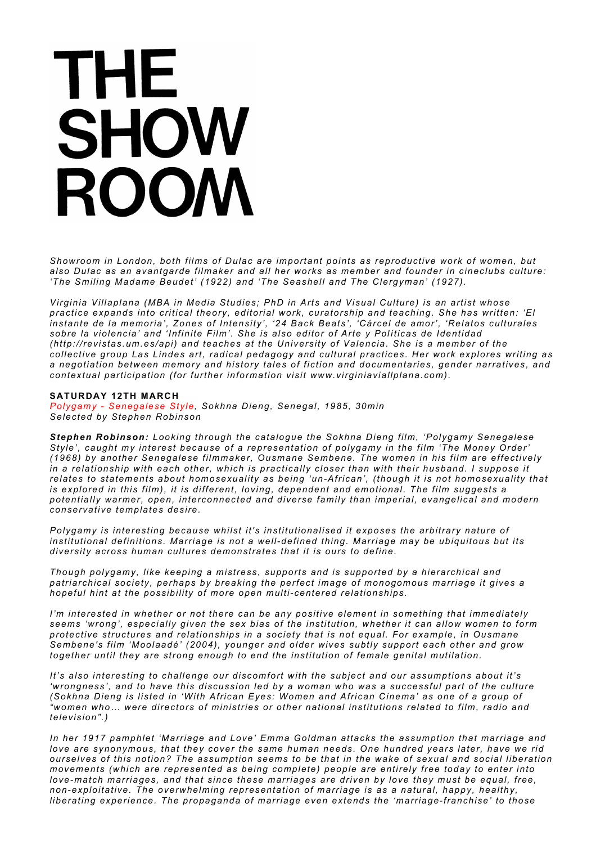## **THE** SHOW ROOM

*Showroom in London, both films of Dulac are important points as reproductive work of women, but also Dulac as an avantgarde filmaker and all her works as member and founder in cineclubs culture: 'The Smiling Madame Beudet' (1922) and 'The Seashell and The Clergyman' (1927).*

*Virginia Villaplana (MBA in Media Studies; PhD in Arts and Visual Culture) is an artist whose practice expands into critical theory, editorial work, curatorship and teaching. She has written: 'El instante de la memoria', Zones of Intensity', '24 Back Beats', 'Cárcel de amor', 'Relatos culturales sobre la violencia' and 'Infinite Film'. She is also editor of Arte y Políticas de Identidad (http://revistas.um.es/api) and teaches at the University of Valencia. She is a member of the collective group Las Lindes art, radical pedagogy and cultural practices. Her work explores writing as a negotiation between memory and history tales of fiction and documentaries, gender narratives, and contextual participation (for further information visit www.virginiaviallplana.com).*

#### **SATURDAY 12TH MARCH**

*Polygamy - Senegalese Style, Sokhna Dieng, Senegal, 1985, 30min Selected by Stephen Robinson*

*Stephen Robinson: Looking through the catalogue the Sokhna Dieng film, 'Polygamy Senegalese Style', caught my interest because of a representation of polygamy in the film 'The Money Order' (1968) by another Senegalese filmmaker, Ousmane Sembene. The women in his film are effectively in a relationship with each other, which is practically closer than with their husband. I suppose it relates to statements about homosexuality as being 'un-African', (though it is not homosexuality that is explored in this film), it is different, loving, dependent and emotional. The film suggests a potentially warmer, open, interconnected and diverse family than imperial, evangelical and modern conservative templates desire.*

*Polygamy is interesting because whilst it's institutionalised it exposes the arbitrary nature of institutional definitions. Marriage is not a well-defined thing. Marriage may be ubiquitous but its diversity across human cultures demonstrates that it is ours to define.*

*Though polygamy, like keeping a mistress, supports and is supported by a hierarchical and patriarchical society, perhaps by breaking the perfect image of monogomous marriage it gives a hopeful hint at the possibility of more open multi-centered relationships.*

*I'm interested in whether or not there can be any positive element in something that immediately seems 'wrong', especially given the sex bias of the institution, whether it can allow women to form protective structures and relationships in a society that is not equal. For example, in Ousmane Sembene's film 'Moolaadé' (2004), younger and older wives subtly support each other and grow together until they are strong enough to end the institution of female genital mutilation.*

*It's also interesting to challenge our discomfort with the subject and our assumptions about it's 'wrongness', and to have this discussion led by a woman who was a successful part of the culture (Sokhna Dieng is listed in 'With African Eyes: Women and African Cinema' as one of a group of "women who… were directors of ministries or other national institutions related to film, radio and television".)*

*In her 1917 pamphlet 'Marriage and Love' Emma Goldman attacks the assumption that marriage and love are synonymous, that they cover the same human needs. One hundred years later, have we rid ourselves of this notion? The assumption seems to be that in the wake of sexual and social liberation movements (which are represented as being complete) people are entirely free today to enter into love-match marriages, and that since these marriages are driven by love they must be equal, free, non-exploitative. The overwhelming representation of marriage is as a natural, happy, healthy, liberating experience. The propaganda of marriage even extends the 'marriage-franchise' to those*